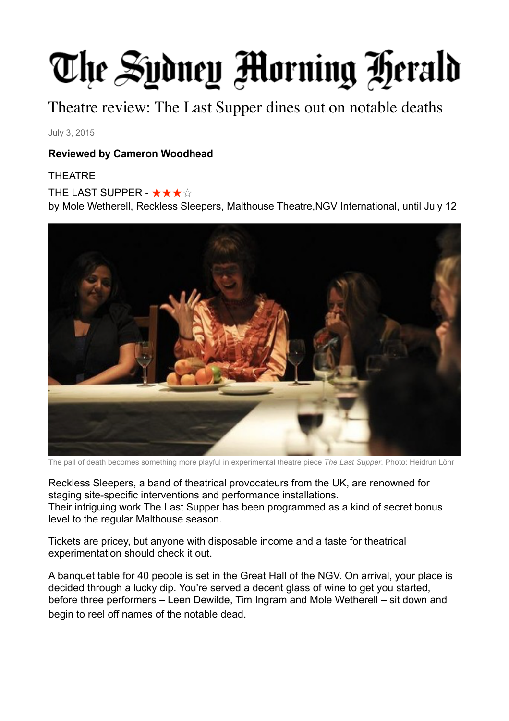## The Sydney Morning Herald

Theatre review: The Last Supper dines out on notable deaths

July 3, 2015

## **Reviewed by Cameron Woodhead**

## THEATRE

THE LAST SUPPER - ★★★☆

by Mole Wetherell, Reckless Sleepers, Malthouse Theatre,NGV International, until July 12



The pall of death becomes something more playful in experimental theatre piece *The Last Supper*. Photo: Heidrun Löhr

Reckless Sleepers, a band of theatrical provocateurs from the UK, are renowned for staging site-specific interventions and performance installations. Their intriguing work The Last Supper has been programmed as a kind of secret bonus level to the regular Malthouse season.

Tickets are pricey, but anyone with disposable income and a taste for theatrical experimentation should check it out.

A banquet table for 40 people is set in the Great Hall of the NGV. On arrival, your place is decided through a lucky dip. You're served a decent glass of wine to get you started, before three performers – Leen Dewilde, Tim Ingram and Mole Wetherell – sit down and begin to reel off names of the notable dead.